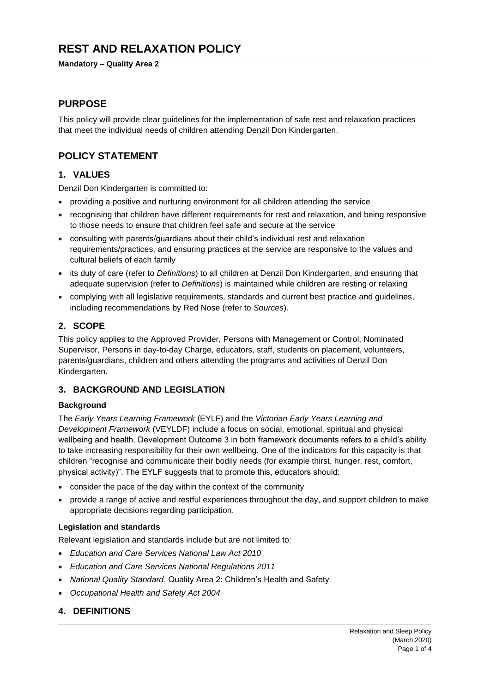# **REST AND RELAXATION POLICY**

#### **Mandatory – Quality Area 2**

### **PURPOSE**

This policy will provide clear guidelines for the implementation of safe rest and relaxation practices that meet the individual needs of children attending Denzil Don Kindergarten.

## **POLICY STATEMENT**

### **1. VALUES**

Denzil Don Kindergarten is committed to:

- providing a positive and nurturing environment for all children attending the service
- recognising that children have different requirements for rest and relaxation, and being responsive to those needs to ensure that children feel safe and secure at the service
- consulting with parents/guardians about their child's individual rest and relaxation requirements/practices, and ensuring practices at the service are responsive to the values and cultural beliefs of each family
- its duty of care (refer to *Definitions*) to all children at Denzil Don Kindergarten, and ensuring that adequate supervision (refer to *Definitions*) is maintained while children are resting or relaxing
- complying with all legislative requirements, standards and current best practice and quidelines, including recommendations by Red Nose (refer to *Sources*).

### **2. SCOPE**

This policy applies to the Approved Provider, Persons with Management or Control, Nominated Supervisor, Persons in day-to-day Charge, educators, staff, students on placement, volunteers, parents/guardians, children and others attending the programs and activities of Denzil Don Kindergarten.

### **3. BACKGROUND AND LEGISLATION**

#### **Background**

The *Early Years Learning Framework* (EYLF) and the *Victorian Early Years Learning and Development Framework* (VEYLDF) include a focus on social, emotional, spiritual and physical wellbeing and health. Development Outcome 3 in both framework documents refers to a child's ability to take increasing responsibility for their own wellbeing. One of the indicators for this capacity is that children "recognise and communicate their bodily needs (for example thirst, hunger, rest, comfort, physical activity)". The EYLF suggests that to promote this, educators should:

- consider the pace of the day within the context of the community
- provide a range of active and restful experiences throughout the day, and support children to make appropriate decisions regarding participation.

#### **Legislation and standards**

Relevant legislation and standards include but are not limited to:

- *Education and Care Services National Law Act 2010*
- *Education and Care Services National Regulations 2011*
- *National Quality Standard*, Quality Area 2: Children's Health and Safety
- *Occupational Health and Safety Act 2004*

## **4. DEFINITIONS**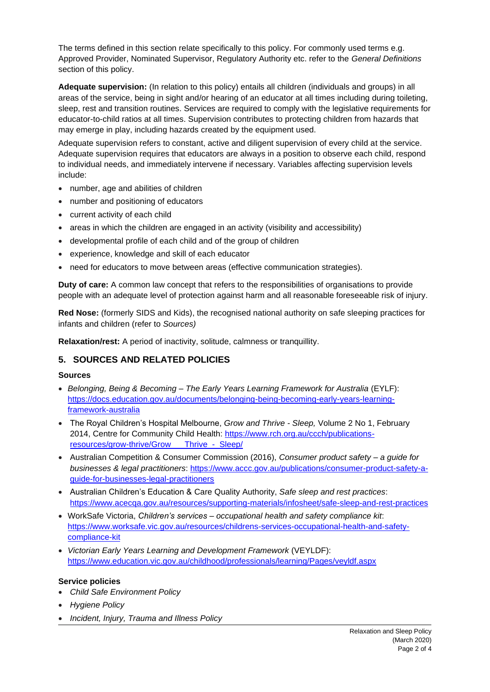The terms defined in this section relate specifically to this policy. For commonly used terms e.g. Approved Provider, Nominated Supervisor, Regulatory Authority etc. refer to the *General Definitions* section of this policy.

**Adequate supervision:** (In relation to this policy) entails all children (individuals and groups) in all areas of the service, being in sight and/or hearing of an educator at all times including during toileting, sleep, rest and transition routines. Services are required to comply with the legislative requirements for educator-to-child ratios at all times. Supervision contributes to protecting children from hazards that may emerge in play, including hazards created by the equipment used.

Adequate supervision refers to constant, active and diligent supervision of every child at the service. Adequate supervision requires that educators are always in a position to observe each child, respond to individual needs, and immediately intervene if necessary. Variables affecting supervision levels include:

- number, age and abilities of children
- number and positioning of educators
- current activity of each child
- areas in which the children are engaged in an activity (visibility and accessibility)
- developmental profile of each child and of the group of children
- experience, knowledge and skill of each educator
- need for educators to move between areas (effective communication strategies).

**Duty of care:** A common law concept that refers to the responsibilities of organisations to provide people with an adequate level of protection against harm and all reasonable foreseeable risk of injury.

**Red Nose:** (formerly SIDS and Kids), the recognised national authority on safe sleeping practices for infants and children (refer to *Sources)*

**Relaxation/rest:** A period of inactivity, solitude, calmness or tranquillity.

## **5. SOURCES AND RELATED POLICIES**

#### **Sources**

- *Belonging, Being & Becoming – The Early Years Learning Framework for Australia* (EYLF): [https://docs.education.gov.au/documents/belonging-being-becoming-early-years-learning](https://docs.education.gov.au/documents/belonging-being-becoming-early-years-learning-framework-australia)[framework-australia](https://docs.education.gov.au/documents/belonging-being-becoming-early-years-learning-framework-australia)
- The Royal Children's Hospital Melbourne, *Grow and Thrive - Sleep,* Volume 2 No 1, February 2014, Centre for Community Child Health: [https://www.rch.org.au/ccch/publications](https://www.rch.org.au/ccch/publications-resources/grow-thrive/Grow___Thrive_-_Sleep/)resources/grow-thrive/Grow Thrive - Sleep/
- Australian Competition & Consumer Commission (2016), *Consumer product safety – a guide for businesses & legal practitioners*: [https://www.accc.gov.au/publications/consumer-product-safety-a](https://www.accc.gov.au/publications/consumer-product-safety-a-guide-for-businesses-legal-practitioners)[guide-for-businesses-legal-practitioners](https://www.accc.gov.au/publications/consumer-product-safety-a-guide-for-businesses-legal-practitioners)
- Australian Children's Education & Care Quality Authority, *Safe sleep and rest practices*: <https://www.acecqa.gov.au/resources/supporting-materials/infosheet/safe-sleep-and-rest-practices>
- WorkSafe Victoria, *Children's services – occupational health and safety compliance kit*: [https://www.worksafe.vic.gov.au/resources/childrens-services-occupational-health-and-safety](https://www.worksafe.vic.gov.au/resources/childrens-services-occupational-health-and-safety-compliance-kit)[compliance-kit](https://www.worksafe.vic.gov.au/resources/childrens-services-occupational-health-and-safety-compliance-kit)
- *Victorian Early Years Learning and Development Framework* (VEYLDF): <https://www.education.vic.gov.au/childhood/professionals/learning/Pages/veyldf.aspx>

#### **Service policies**

- *Child Safe Environment Policy*
- *Hygiene Policy*
- *Incident, Injury, Trauma and Illness Policy*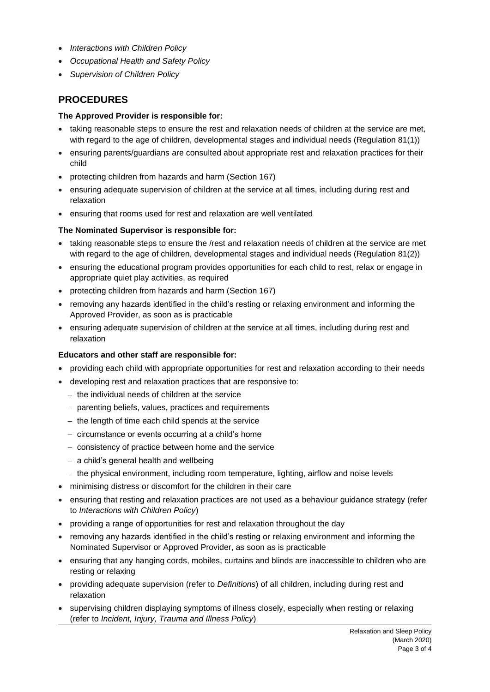- *Interactions with Children Policy*
- *Occupational Health and Safety Policy*
- *Supervision of Children Policy*

## **PROCEDURES**

#### **The Approved Provider is responsible for:**

- taking reasonable steps to ensure the rest and relaxation needs of children at the service are met, with regard to the age of children, developmental stages and individual needs (Regulation 81(1))
- ensuring parents/guardians are consulted about appropriate rest and relaxation practices for their child
- protecting children from hazards and harm (Section 167)
- ensuring adequate supervision of children at the service at all times, including during rest and relaxation
- ensuring that rooms used for rest and relaxation are well ventilated

#### **The Nominated Supervisor is responsible for:**

- taking reasonable steps to ensure the /rest and relaxation needs of children at the service are met with regard to the age of children, developmental stages and individual needs (Regulation 81(2))
- ensuring the educational program provides opportunities for each child to rest, relax or engage in appropriate quiet play activities, as required
- protecting children from hazards and harm (Section 167)
- removing any hazards identified in the child's resting or relaxing environment and informing the Approved Provider, as soon as is practicable
- ensuring adequate supervision of children at the service at all times, including during rest and relaxation

#### **Educators and other staff are responsible for:**

- providing each child with appropriate opportunities for rest and relaxation according to their needs
- developing rest and relaxation practices that are responsive to:
	- − the individual needs of children at the service
	- − parenting beliefs, values, practices and requirements
	- − the length of time each child spends at the service
	- − circumstance or events occurring at a child's home
	- − consistency of practice between home and the service
	- − a child's general health and wellbeing
	- − the physical environment, including room temperature, lighting, airflow and noise levels
- minimising distress or discomfort for the children in their care
- ensuring that resting and relaxation practices are not used as a behaviour guidance strategy (refer to *Interactions with Children Policy*)
- providing a range of opportunities for rest and relaxation throughout the day
- removing any hazards identified in the child's resting or relaxing environment and informing the Nominated Supervisor or Approved Provider, as soon as is practicable
- ensuring that any hanging cords, mobiles, curtains and blinds are inaccessible to children who are resting or relaxing
- providing adequate supervision (refer to *Definitions*) of all children, including during rest and relaxation
- supervising children displaying symptoms of illness closely, especially when resting or relaxing (refer to *Incident, Injury, Trauma and Illness Policy*)